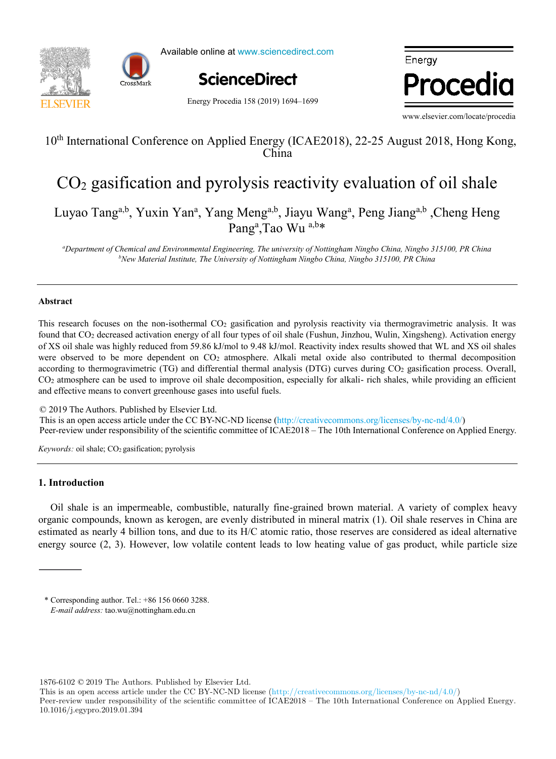



Available online at www.sciencedirect.com



Energy Procedia

Energy Procedia 158 (2019) 1694–1699

www.elsevier.com/locate/procedia

# $10^{\text{th}}$  International Conference on Applied Energy (ICAE2018), 22-25 August 2018, Hong Kong,  $K$ 10<sup>th</sup> International Conference on Applied Energy (ICAE2018), 22-25 August 2018, Hong Kong, China

# $CO<sub>2</sub>$  gasification and pyrolysis reactivity evaluation of oil shale  $CO<sub>2</sub>$  gasification and pyrolysis reactivity evaluation of oil shale

ao Tang<sup>a,b</sup>, Yuxin Yan<sup>a</sup>, Yang Meng<sup>a,b</sup>, Jiayu Wang<sup>a</sup>, Peng Jiang<sup>a,b</sup> ,Cheng Her  $rang<sup>th</sup>$ , I ao Wu Luyao Tanga,b, Y. J. Yang Yang Menga,b, J. Wanga, Deng Lingah Cheng Heng Luyao Tang<sup>a,b</sup>, Yuxin Yan<sup>a</sup>, Yang Meng<sup>a,b</sup>, Jiayu Wang<sup>a</sup>, Peng Jiang<sup>a,b</sup>, Cheng Heng Pang<sup>a</sup>,Tao Wu <sup>a,b\*</sup>

 $N$ <sup>b</sup>New Material Institute, The University of Nottingham Ningbo China, Ningbo 315100, PR China<br> "Department of Chemical and Environmental Engineering, The university of Nottingham Ningbo China, Ningbo 315100, PR China

*IN+ Center for Innovation, Technology and Policy Research - Instituto Superior Técnico, Av. Rovisco Pais 1, 1049-001 Lisbon, Portugal*

# *a* **Abstract**

of XS oil shale was highly reduced from 59.86 kJ/mol to 9.48 kJ/mol. Reactivity index results showed that WL and XS oil shales according to thermogravimetric (TG) and differential thermal analysis (DTG) curves during CO<sub>2</sub> gasification process. Overall, CO<sub>2</sub> atmosphere can be used to improve oil shale decomposition, especially for alkali- rich shales, while providing an efficient and effective means to convert greenhouse gases into useful fuels. This research focuses on the non-isothermal CO<sub>2</sub> gasification and pyrolysis reactivity via thermogravimetric analysis. It was found that CO2 decreased activation energy of all four types of oil shale (Fushun, Jinzhou, Wulin, Xingsheng). Activation energy were observed to be more dependent on CO<sub>2</sub> atmosphere. Alkali metal oxide also contributed to thermal decomposition

© 2019 The Authors. Published by Elsevier Ltd.  $\&$  2019 The Additions. Fubrished by Eisevier Etd.<br>This is an open access article under the CC BY-NC-ND license (http://creativecommons.org/licenses/by-nc-nd/4.0/)  $f_{\text{per-reviqu}}$  and  $\sigma_{\text{per-reviqu}}$  and  $\sigma_{\text{per-reviqu}}$ , was used as  $f_{\text{per-reviqu}}$ , was used to  $f_{\text{per-reviqu}}$ , where  $\sigma_{\text{per-reviqu}}$  and  $\sigma_{\text{per-reviqu}}$  and  $\sigma_{\text{per-reviqu}}$ Peer-review under responsibility of the scientific committee of ICAE2018 – The 10th International Conference on Applied Energy. There is no control to

compared with results from a dynamic heat demand model, previously developed and validated by the authors.

*Keywords:* oil shale; CO<sub>2</sub> gasification; pyrolysis

## (the error in annual demand was lower than 20% for all weather scenarios considered). However, after introducing renovation **1. Introduction**

Oil shale is an impermeable, combustible, naturally fine-grained brown material. A variety of complex heavy organic compounds, known as kerogen, are evenly distributed in mineral matrix (1). Oil shale reserves in China are estimated as nearly 4 billion tons, and due to its H/C atomic ratio, those reserves are considered as ideal alternative  $\frac{1}{\sqrt{2}}$  suggested coupled coupled could be used to modify the function parameters for the scenarios for the scenarios coupled to  $\frac{1}{\sqrt{2}}$ . energy source  $(2, 3)$ . However, low volatile content leads to low heating value of gas product, while particle size energy source (2, 3). However, low volatile content leads to low heating value of gas product, while particle size

© 2017 The Authors. Published by Elsevier Ltd.

1876-6102 © 2019 The Authors. Published by Elsevier Ltd.

This is an open access article under the CC BY-NC-ND license (http://creativecommons.org/licenses/by-nc-nd/4.0/) Peer-review under responsibility of the scientific committee of ICAE2018 – The 10th International Conference on Applied Energy.

10.1016/j.egypro.2019.01.394

<sup>\*</sup> Corresponding author. Tel.: +86 156 0660 3288. *E-mail address:* tao.wu@nottingham.edu.cn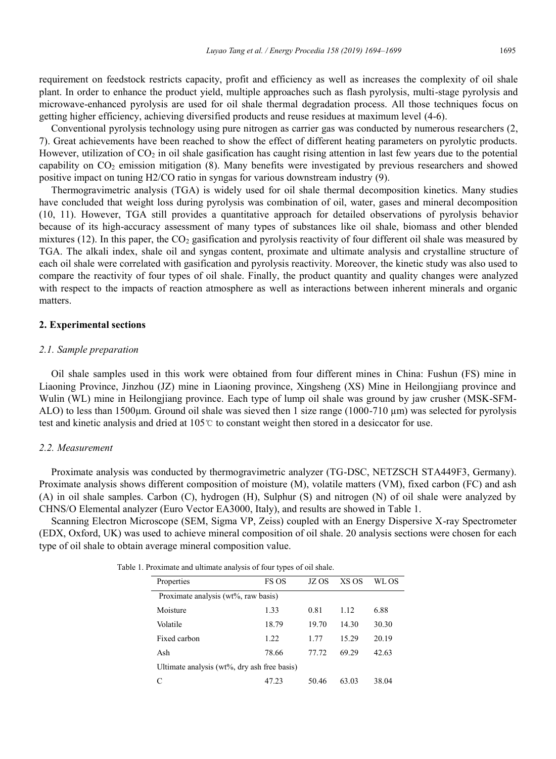requirement on feedstock restricts capacity, profit and efficiency as well as increases the complexity of oil shale plant. In order to enhance the product yield, multiple approaches such as flash pyrolysis, multi-stage pyrolysis and microwave-enhanced pyrolysis are used for oil shale thermal degradation process. All those techniques focus on getting higher efficiency, achieving diversified products and reuse residues at maximum level (4-6).

Conventional pyrolysis technology using pure nitrogen as carrier gas was conducted by numerous researchers (2, 7). Great achievements have been reached to show the effect of different heating parameters on pyrolytic products. However, utilization of  $CO<sub>2</sub>$  in oil shale gasification has caught rising attention in last few years due to the potential capability on CO<sub>2</sub> emission mitigation (8). Many benefits were investigated by previous researchers and showed positive impact on tuning H2/CO ratio in syngas for various downstream industry (9).

Thermogravimetric analysis (TGA) is widely used for oil shale thermal decomposition kinetics. Many studies have concluded that weight loss during pyrolysis was combination of oil, water, gases and mineral decomposition (10, 11). However, TGA still provides a quantitative approach for detailed observations of pyrolysis behavior because of its high-accuracy assessment of many types of substances like oil shale, biomass and other blended mixtures (12). In this paper, the  $CO<sub>2</sub>$  gasification and pyrolysis reactivity of four different oil shale was measured by TGA. The alkali index, shale oil and syngas content, proximate and ultimate analysis and crystalline structure of each oil shale were correlated with gasification and pyrolysis reactivity. Moreover, the kinetic study was also used to compare the reactivity of four types of oil shale. Finally, the product quantity and quality changes were analyzed with respect to the impacts of reaction atmosphere as well as interactions between inherent minerals and organic matters.

#### **2. Experimental sections**

#### *2.1. Sample preparation*

Oil shale samples used in this work were obtained from four different mines in China: Fushun (FS) mine in Liaoning Province, Jinzhou (JZ) mine in Liaoning province, Xingsheng (XS) Mine in Heilongjiang province and Wulin (WL) mine in Heilongjiang province. Each type of lump oil shale was ground by jaw crusher (MSK-SFM-ALO) to less than  $1500\mu$ m. Ground oil shale was sieved then 1 size range (1000-710  $\mu$ m) was selected for pyrolysis test and kinetic analysis and dried at 105℃ to constant weight then stored in a desiccator for use.

#### *2.2. Measurement*

Proximate analysis was conducted by thermogravimetric analyzer (TG-DSC, NETZSCH STA449F3, Germany). Proximate analysis shows different composition of moisture (M), volatile matters (VM), fixed carbon (FC) and ash (A) in oil shale samples. Carbon (C), hydrogen (H), Sulphur (S) and nitrogen (N) of oil shale were analyzed by CHNS/O Elemental analyzer (Euro Vector EA3000, Italy), and results are showed in Table 1.

Scanning Electron Microscope (SEM, Sigma VP, Zeiss) coupled with an Energy Dispersive X-ray Spectrometer (EDX, Oxford, UK) was used to achieve mineral composition of oil shale. 20 analysis sections were chosen for each type of oil shale to obtain average mineral composition value.

| Properties                                  | FS OS | JZ OS | XS OS | WL OS |  |  |  |  |
|---------------------------------------------|-------|-------|-------|-------|--|--|--|--|
| Proximate analysis (wt%, raw basis)         |       |       |       |       |  |  |  |  |
| Moisture                                    | 1.33  | 0.81  | 1.12  | 6.88  |  |  |  |  |
| Volatile                                    | 18.79 | 19.70 | 14.30 | 30.30 |  |  |  |  |
| Fixed carbon                                | 1.22  | 1.77  | 15.29 | 20.19 |  |  |  |  |
| Ash                                         | 78.66 | 77.72 | 69.29 | 42.63 |  |  |  |  |
| Ultimate analysis (wt%, dry ash free basis) |       |       |       |       |  |  |  |  |
|                                             | 47.23 | 50.46 | 63.03 | 38.04 |  |  |  |  |

Table 1. Proximate and ultimate analysis of four types of oil shale.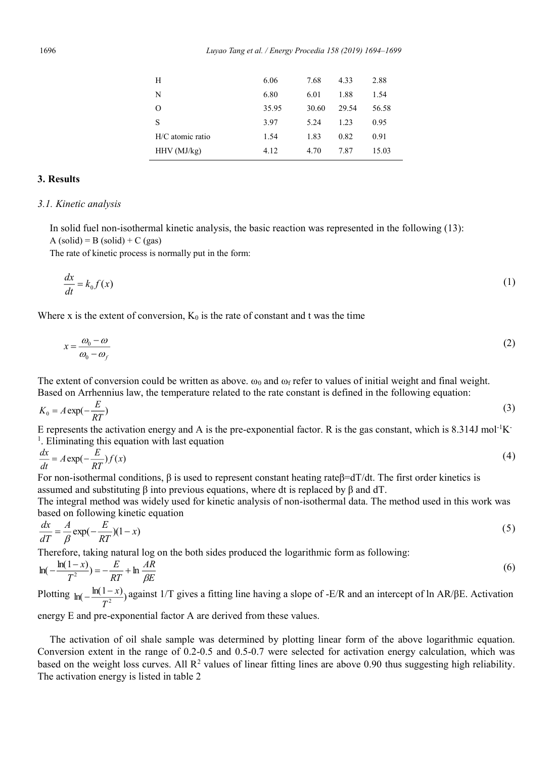| Н                | 6.06  | 7.68  | 4.33  | 2.88  |
|------------------|-------|-------|-------|-------|
| N                | 6.80  | 6.01  | 1.88  | 1.54  |
| O                | 35.95 | 30.60 | 29.54 | 56.58 |
| S                | 3.97  | 5.24  | 1.23  | 0.95  |
| H/C atomic ratio | 1.54  | 1.83  | 0.82  | 0.91  |
| $HHV$ (MJ/kg)    | 4.12  | 4.70  | 7.87  | 15.03 |

### **3. Results**

#### *3.1. Kinetic analysis*

In solid fuel non-isothermal kinetic analysis, the basic reaction was represented in the following (13):  $A (solid) = B (solid) + C (gas)$ 

The rate of kinetic process is normally put in the form:

$$
\frac{dx}{dt} = k_0 f(x) \tag{1}
$$

Where x is the extent of conversion,  $K_0$  is the rate of constant and t was the time

$$
x = \frac{\omega_0 - \omega}{\omega_0 - \omega_f} \tag{2}
$$

The extent of conversion could be written as above.  $\omega_0$  and  $\omega_f$  refer to values of initial weight and final weight. Based on Arrhennius law, the temperature related to the rate constant is defined in the following equation:

$$
K_0 = A \exp(-\frac{E}{RT})
$$
\n(3)

E represents the activation energy and A is the pre-exponential factor. R is the gas constant, which is 8.314J mol<sup>-1</sup>K <sup>1</sup>. Eliminating this equation with last equation

$$
\frac{dx}{dt} = A \exp(-\frac{E}{RT}) f(x) \tag{4}
$$

For non-isothermal conditions, β is used to represent constant heating rateβ=dT/dt. The first order kinetics is assumed and substituting β into previous equations, where dt is replaced by β and dT.

The integral method was widely used for kinetic analysis of non-isothermal data. The method used in this work was based on following kinetic equation

$$
\frac{dx}{dT} = \frac{A}{\beta} \exp(-\frac{E}{RT})(1-x) \tag{5}
$$

Therefore, taking natural log on the both sides produced the logarithmic form as following:

$$
\ln\left(-\frac{\ln(1-x)}{T^2}\right) = -\frac{E}{RT} + \ln\frac{AR}{\beta E}
$$
\n<sup>(6)</sup>

Plotting  $ln(-\frac{ln(1-x)}{T^2})$  against 1/T gives a fitting line having a slope of -E/R and an intercept of ln AR/βE. Activation

energy E and pre-exponential factor A are derived from these values.

The activation of oil shale sample was determined by plotting linear form of the above logarithmic equation. Conversion extent in the range of 0.2-0.5 and 0.5-0.7 were selected for activation energy calculation, which was based on the weight loss curves. All  $\mathbb{R}^2$  values of linear fitting lines are above 0.90 thus suggesting high reliability. The activation energy is listed in table 2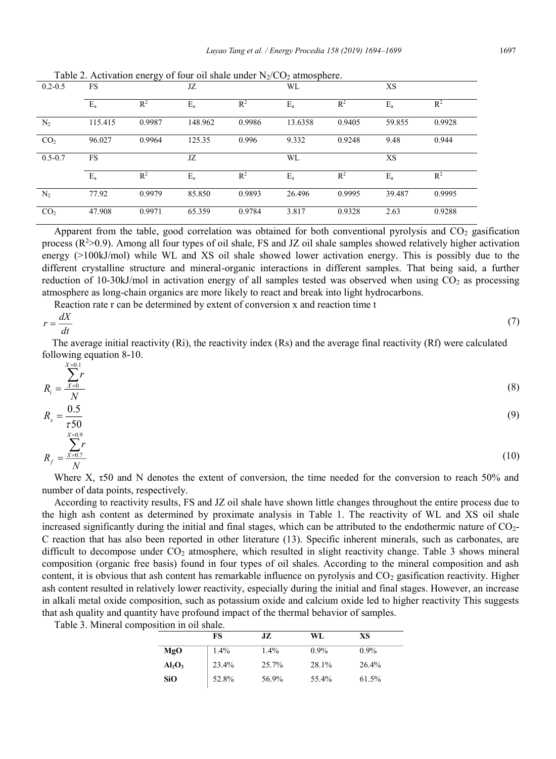|                 |           | ັ      |         |                |         |        |         |                |
|-----------------|-----------|--------|---------|----------------|---------|--------|---------|----------------|
| $0.2 - 0.5$     | FS        |        | JZ      |                | WL      |        | XS      |                |
|                 | $E_a$     | $R^2$  | $E_a$   | R <sup>2</sup> | $E_a$   | $R^2$  | $E_a$   | R <sup>2</sup> |
| N <sub>2</sub>  | 115.415   | 0.9987 | 148.962 | 0.9986         | 13.6358 | 0.9405 | 59.855  | 0.9928         |
| CO <sub>2</sub> | 96.027    | 0.9964 | 125.35  | 0.996          | 9.332   | 0.9248 | 9.48    | 0.944          |
|                 |           |        |         |                |         |        |         |                |
| $0.5 - 0.7$     | <b>FS</b> |        | JZ      |                | WL      |        | XS      |                |
|                 | $E_{a}$   | $R^2$  | $E_{a}$ | R <sup>2</sup> | $E_{a}$ | $R^2$  | $E_{a}$ | $R^2$          |
| $N_2$           | 77.92     | 0.9979 | 85.850  | 0.9893         | 26.496  | 0.9995 | 39.487  | 0.9995         |

Table 2. Activation energy of four oil shale under  $N_2/CO_2$  atmosphere.

Apparent from the table, good correlation was obtained for both conventional pyrolysis and  $CO<sub>2</sub>$  gasification process (R<sup>2</sup>>0.9). Among all four types of oil shale, FS and JZ oil shale samples showed relatively higher activation energy (>100kJ/mol) while WL and XS oil shale showed lower activation energy. This is possibly due to the different crystalline structure and mineral-organic interactions in different samples. That being said, a further reduction of 10-30kJ/mol in activation energy of all samples tested was observed when using  $CO<sub>2</sub>$  as processing atmosphere as long-chain organics are more likely to react and break into light hydrocarbons.

Reaction rate r can be determined by extent of conversion x and reaction time t

$$
r = \frac{dX}{dt} \tag{7}
$$

The average initial reactivity (Ri), the reactivity index (Rs) and the average final reactivity (Rf) were calculated following equation 8-10.

$$
R_{i} = \frac{\sum_{x=0}^{x=0} r}{N}
$$
\n
$$
R_{s} = \frac{0.5}{\tau 50}
$$
\n
$$
R_{f} = \frac{\sum_{x=0.9}^{x=0.9} r}{N}
$$
\n(10)

Where X, τ50 and N denotes the extent of conversion, the time needed for the conversion to reach 50% and number of data points, respectively.

According to reactivity results, FS and JZ oil shale have shown little changes throughout the entire process due to the high ash content as determined by proximate analysis in Table 1. The reactivity of WL and XS oil shale increased significantly during the initial and final stages, which can be attributed to the endothermic nature of CO<sub>2</sub>-C reaction that has also been reported in other literature (13). Specific inherent minerals, such as carbonates, are difficult to decompose under  $CO<sub>2</sub>$  atmosphere, which resulted in slight reactivity change. Table 3 shows mineral composition (organic free basis) found in four types of oil shales. According to the mineral composition and ash content, it is obvious that ash content has remarkable influence on pyrolysis and CO<sub>2</sub> gasification reactivity. Higher ash content resulted in relatively lower reactivity, especially during the initial and final stages. However, an increase in alkali metal oxide composition, such as potassium oxide and calcium oxide led to higher reactivity This suggests that ash quality and quantity have profound impact of the thermal behavior of samples.

| Table 3. Mineral composition in oil shale. |
|--------------------------------------------|
|--------------------------------------------|

|                                | FS    | JZ      | WL.     | XS      |
|--------------------------------|-------|---------|---------|---------|
| MgO                            | 1.4%  | $1.4\%$ | $0.9\%$ | $0.9\%$ |
| Al <sub>2</sub> O <sub>3</sub> | 23.4% | 25.7%   | 28.1%   | 26.4%   |
| <b>SiO</b>                     | 52.8% | 56.9%   | 55.4%   | 61.5%   |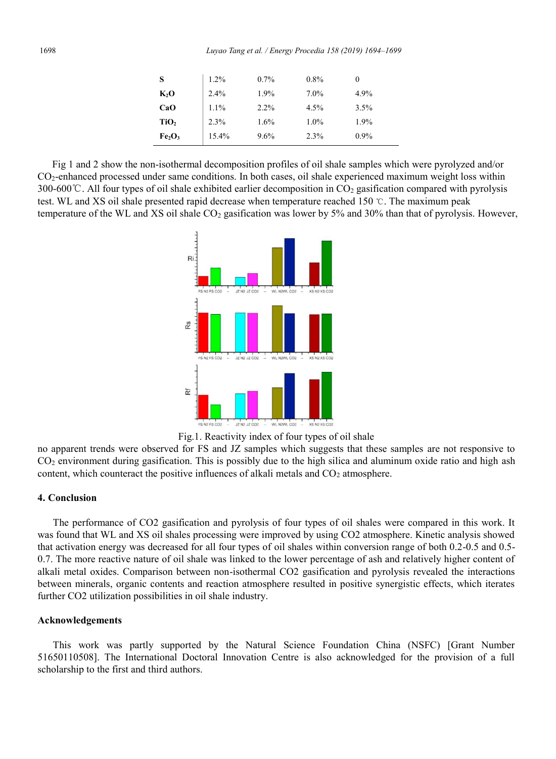| S                              | 1.2%  | 0.7% | 0.8% |         |
|--------------------------------|-------|------|------|---------|
| $K_2O$                         | 2.4%  | 1.9% | 7.0% | 4.9%    |
| CaO                            | 1.1%  | 2.2% | 4.5% | 3.5%    |
| TiO <sub>2</sub>               | 2.3%  | 1.6% | 1.0% | 1.9%    |
| Fe <sub>2</sub> O <sub>3</sub> | 15.4% | 9.6% | 2.3% | $0.9\%$ |

Fig 1 and 2 show the non-isothermal decomposition profiles of oil shale samples which were pyrolyzed and/or CO2-enhanced processed under same conditions. In both cases, oil shale experienced maximum weight loss within 300-600 °C. All four types of oil shale exhibited earlier decomposition in  $CO<sub>2</sub>$  gasification compared with pyrolysis test. WL and XS oil shale presented rapid decrease when temperature reached 150 ℃. The maximum peak temperature of the WL and XS oil shale  $CO<sub>2</sub>$  gasification was lower by 5% and 30% than that of pyrolysis. However,



Fig.1. Reactivity index of four types of oil shale

no apparent trends were observed for FS and JZ samples which suggests that these samples are not responsive to  $CO<sub>2</sub>$  environment during gasification. This is possibly due to the high silica and aluminum oxide ratio and high ash content, which counteract the positive influences of alkali metals and  $CO<sub>2</sub>$  atmosphere.

#### **4. Conclusion**

The performance of CO2 gasification and pyrolysis of four types of oil shales were compared in this work. It was found that WL and XS oil shales processing were improved by using CO2 atmosphere. Kinetic analysis showed that activation energy was decreased for all four types of oil shales within conversion range of both 0.2-0.5 and 0.5- 0.7. The more reactive nature of oil shale was linked to the lower percentage of ash and relatively higher content of alkali metal oxides. Comparison between non-isothermal CO2 gasification and pyrolysis revealed the interactions between minerals, organic contents and reaction atmosphere resulted in positive synergistic effects, which iterates further CO2 utilization possibilities in oil shale industry.

#### **Acknowledgements**

This work was partly supported by the Natural Science Foundation China (NSFC) [Grant Number 51650110508]. The International Doctoral Innovation Centre is also acknowledged for the provision of a full scholarship to the first and third authors.